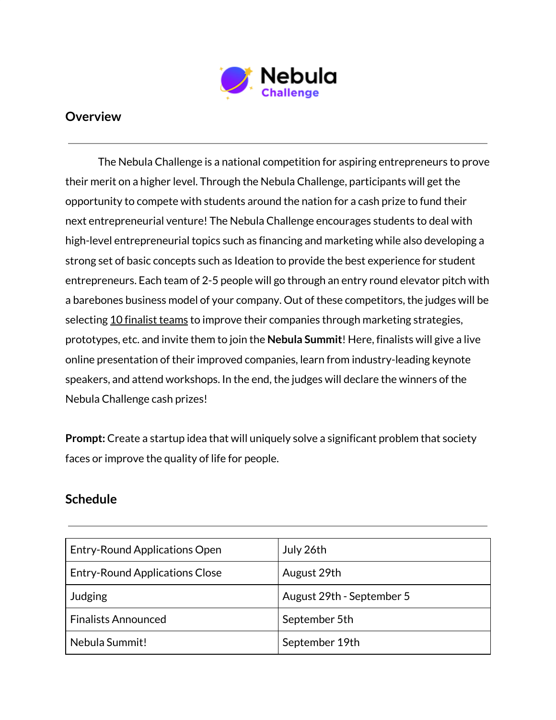

## **Overview**

The Nebula Challenge is a national competition for aspiring entrepreneurs to prove their merit on a higher level. Through the Nebula Challenge, participants will get the opportunity to compete with students around the nation for a cash prize to fund their next entrepreneurial venture! The Nebula Challenge encourages students to deal with high-level entrepreneurial topics such as financing and marketing while also developing a strong set of basic concepts such as Ideation to provide the best experience for student entrepreneurs. Each team of 2-5 people will go through an entry round elevator pitch with a barebones business model of your company. Out of these competitors, the judges will be selecting 10 finalist teams to improve their companies through marketing strategies, prototypes, etc. and invite them to join the **Nebula Summit**! Here, finalists will give a live online presentation of their improved companies, learn from industry-leading keynote speakers, and attend workshops. In the end, the judges will declare the winners of the Nebula Challenge cash prizes!

**Prompt:** Create a startup idea that will uniquely solve a significant problem that society faces or improve the quality of life for people.

## **Schedule**

| <b>Entry-Round Applications Open</b>  | July 26th                 |
|---------------------------------------|---------------------------|
| <b>Entry-Round Applications Close</b> | August 29th               |
| Judging                               | August 29th - September 5 |
| <b>Finalists Announced</b>            | September 5th             |
| Nebula Summit!                        | September 19th            |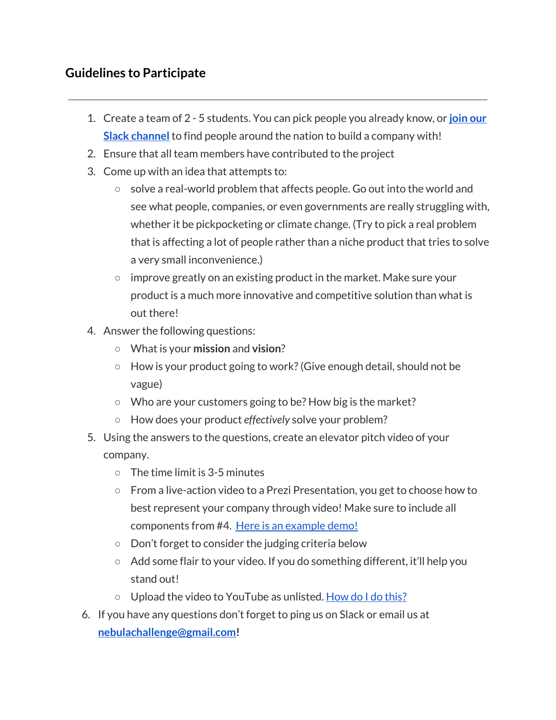## **Guidelines to Participate**

- 1. Create a team of 2 5 students. You can pick people you already know, or **[join](https://join.slack.com/t/nebulachallenge/shared_invite/zt-g159kp0k-qEhj1NtRAIFiPzZt6QzxgQ) our Slack [channel](https://join.slack.com/t/nebulachallenge/shared_invite/zt-g159kp0k-qEhj1NtRAIFiPzZt6QzxgQ)** to find people around the nation to build a company with!
- 2. Ensure that all team members have contributed to the project
- 3. Come up with an idea that attempts to:
	- solve a real-world problem that affects people. Go out into the world and see what people, companies, or even governments are really struggling with, whether it be pickpocketing or climate change. (Try to pick a real problem that is affecting a lot of people rather than a niche product that tries to solve a very small inconvenience.)
	- $\circ$  improve greatly on an existing product in the market. Make sure your product is a much more innovative and competitive solution than what is out there!
- 4. Answer the following questions:
	- What is your **mission** and **vision**?
	- $\circ$  How is your product going to work? (Give enough detail, should not be vague)
	- Who are your customers going to be? How big is the market?
	- How does your product *effectively* solve your problem?
- 5. Using the answers to the questions, create an elevator pitch video of your company.
	- **○** The time limit is 3-5 minutes
	- **○** From a live-action video to a Prezi Presentation, you get to choose how to best represent your company through video! Make sure to include all components from #4. Here is an [example](https://youtu.be/4mPakkUlDLw) demo!
	- **○** Don't forget to consider the judging criteria below
	- **○** Add some flair to your video. If you do something different, it'll help you stand out!
	- **○** Upload the video to YouTube as unlisted. [How](https://www.youtube.com/watch?v=JOr7JluzEOM) do I do this?
- 6. If you have any questions don't forget to ping us on Slack or email us at **[nebulachallenge@gmail.com!](mailto:nebulachallenge@gmail.com)**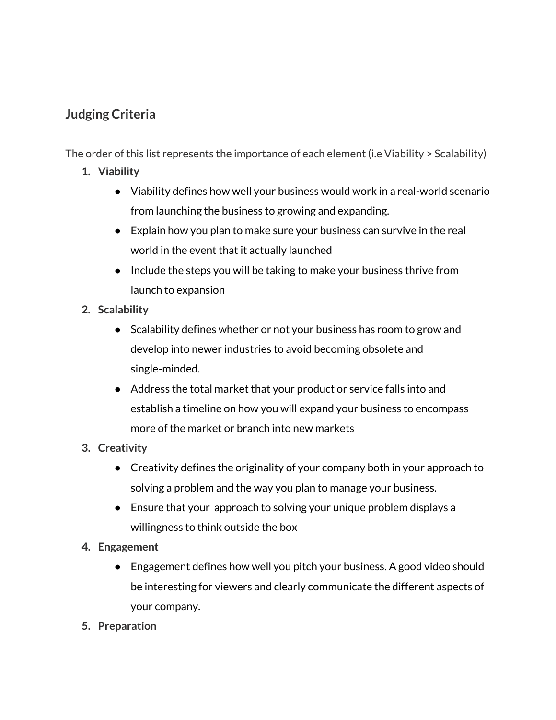## **Judging Criteria**

The order of this list represents the importance of each element (i.e Viability > Scalability)

- **1. Viability**
	- Viability defines how well your business would work in a real-world scenario from launching the business to growing and expanding.
	- $\bullet$  Explain how you plan to make sure your business can survive in the real world in the event that it actually launched
	- Include the steps you will be taking to make your business thrive from launch to expansion
- **2. Scalability**
	- Scalability defines whether or not your business has room to grow and develop into newer industries to avoid becoming obsolete and single-minded.
	- Address the total market that your product or service falls into and establish a timeline on how you will expand your business to encompass more of the market or branch into new markets
- **3. Creativity**
	- Creativity defines the originality of your company both in your approach to solving a problem and the way you plan to manage your business.
	- Ensure that your approach to solving your unique problem displays a willingness to think outside the box
- **4. Engagement**
	- Engagement defines how well you pitch your business. A good video should be interesting for viewers and clearly communicate the different aspects of your company.
- **5. Preparation**